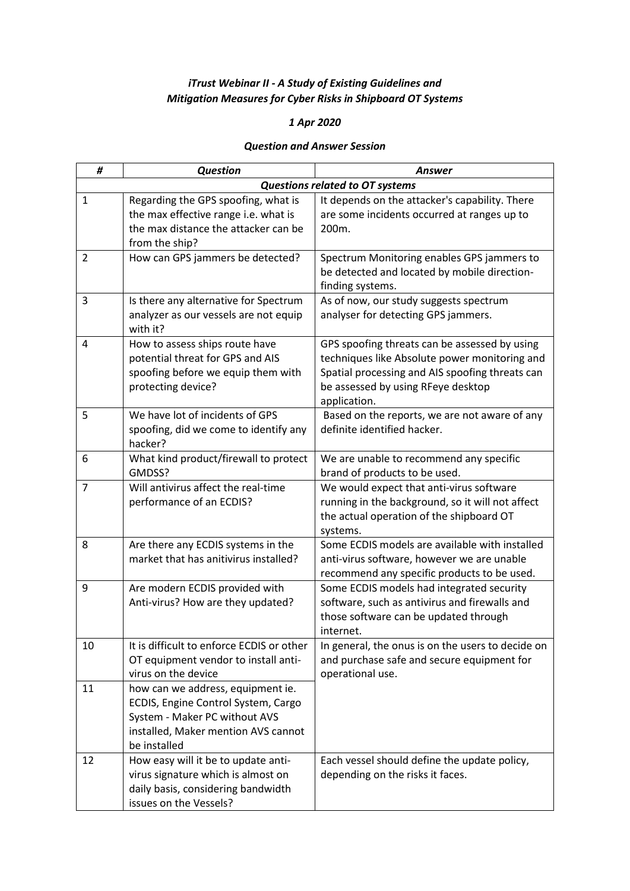## *iTrust Webinar II - A Study of Existing Guidelines and Mitigation Measures for Cyber Risks in Shipboard OT Systems*

## *1 Apr 2020*

## *Question and Answer Session*

| #                                      | <b>Question</b>                                                                                                                                                  | <b>Answer</b>                                                                                                                                                                                           |  |
|----------------------------------------|------------------------------------------------------------------------------------------------------------------------------------------------------------------|---------------------------------------------------------------------------------------------------------------------------------------------------------------------------------------------------------|--|
| <b>Questions related to OT systems</b> |                                                                                                                                                                  |                                                                                                                                                                                                         |  |
| 1                                      | Regarding the GPS spoofing, what is<br>the max effective range i.e. what is<br>the max distance the attacker can be<br>from the ship?                            | It depends on the attacker's capability. There<br>are some incidents occurred at ranges up to<br>200m.                                                                                                  |  |
| $\overline{2}$                         | How can GPS jammers be detected?                                                                                                                                 | Spectrum Monitoring enables GPS jammers to<br>be detected and located by mobile direction-<br>finding systems.                                                                                          |  |
| 3                                      | Is there any alternative for Spectrum<br>analyzer as our vessels are not equip<br>with it?                                                                       | As of now, our study suggests spectrum<br>analyser for detecting GPS jammers.                                                                                                                           |  |
| 4                                      | How to assess ships route have<br>potential threat for GPS and AIS<br>spoofing before we equip them with<br>protecting device?                                   | GPS spoofing threats can be assessed by using<br>techniques like Absolute power monitoring and<br>Spatial processing and AIS spoofing threats can<br>be assessed by using RFeye desktop<br>application. |  |
| 5                                      | We have lot of incidents of GPS<br>spoofing, did we come to identify any<br>hacker?                                                                              | Based on the reports, we are not aware of any<br>definite identified hacker.                                                                                                                            |  |
| 6                                      | What kind product/firewall to protect<br>GMDSS?                                                                                                                  | We are unable to recommend any specific<br>brand of products to be used.                                                                                                                                |  |
| $\overline{7}$                         | Will antivirus affect the real-time<br>performance of an ECDIS?                                                                                                  | We would expect that anti-virus software<br>running in the background, so it will not affect<br>the actual operation of the shipboard OT<br>systems.                                                    |  |
| 8                                      | Are there any ECDIS systems in the<br>market that has anitivirus installed?                                                                                      | Some ECDIS models are available with installed<br>anti-virus software, however we are unable<br>recommend any specific products to be used.                                                             |  |
| 9                                      | Are modern ECDIS provided with<br>Anti-virus? How are they updated?                                                                                              | Some ECDIS models had integrated security<br>software, such as antivirus and firewalls and<br>those software can be updated through<br>internet.                                                        |  |
| 10                                     | It is difficult to enforce ECDIS or other<br>OT equipment vendor to install anti-<br>virus on the device                                                         | In general, the onus is on the users to decide on<br>and purchase safe and secure equipment for<br>operational use.                                                                                     |  |
| 11                                     | how can we address, equipment ie.<br>ECDIS, Engine Control System, Cargo<br>System - Maker PC without AVS<br>installed, Maker mention AVS cannot<br>be installed |                                                                                                                                                                                                         |  |
| 12                                     | How easy will it be to update anti-<br>virus signature which is almost on<br>daily basis, considering bandwidth<br>issues on the Vessels?                        | Each vessel should define the update policy,<br>depending on the risks it faces.                                                                                                                        |  |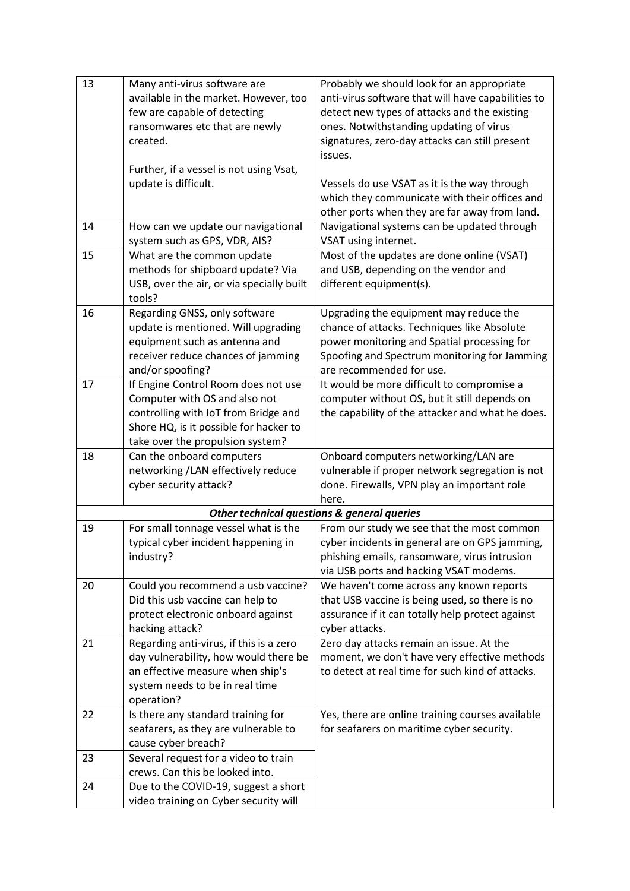| 13 | Many anti-virus software are<br>available in the market. However, too<br>few are capable of detecting<br>ransomwares etc that are newly<br>created.<br>Further, if a vessel is not using Vsat, | Probably we should look for an appropriate<br>anti-virus software that will have capabilities to<br>detect new types of attacks and the existing<br>ones. Notwithstanding updating of virus<br>signatures, zero-day attacks can still present<br>issues. |
|----|------------------------------------------------------------------------------------------------------------------------------------------------------------------------------------------------|----------------------------------------------------------------------------------------------------------------------------------------------------------------------------------------------------------------------------------------------------------|
|    | update is difficult.                                                                                                                                                                           | Vessels do use VSAT as it is the way through<br>which they communicate with their offices and<br>other ports when they are far away from land.                                                                                                           |
| 14 | How can we update our navigational<br>system such as GPS, VDR, AIS?                                                                                                                            | Navigational systems can be updated through<br>VSAT using internet.                                                                                                                                                                                      |
| 15 | What are the common update<br>methods for shipboard update? Via<br>USB, over the air, or via specially built<br>tools?                                                                         | Most of the updates are done online (VSAT)<br>and USB, depending on the vendor and<br>different equipment(s).                                                                                                                                            |
| 16 | Regarding GNSS, only software<br>update is mentioned. Will upgrading<br>equipment such as antenna and<br>receiver reduce chances of jamming<br>and/or spoofing?                                | Upgrading the equipment may reduce the<br>chance of attacks. Techniques like Absolute<br>power monitoring and Spatial processing for<br>Spoofing and Spectrum monitoring for Jamming<br>are recommended for use.                                         |
| 17 | If Engine Control Room does not use<br>Computer with OS and also not<br>controlling with IoT from Bridge and<br>Shore HQ, is it possible for hacker to<br>take over the propulsion system?     | It would be more difficult to compromise a<br>computer without OS, but it still depends on<br>the capability of the attacker and what he does.                                                                                                           |
| 18 | Can the onboard computers<br>networking /LAN effectively reduce<br>cyber security attack?                                                                                                      | Onboard computers networking/LAN are<br>vulnerable if proper network segregation is not<br>done. Firewalls, VPN play an important role<br>here.                                                                                                          |
|    |                                                                                                                                                                                                | Other technical questions & general queries                                                                                                                                                                                                              |
| 19 | For small tonnage vessel what is the<br>typical cyber incident happening in<br>industry?                                                                                                       | From our study we see that the most common<br>cyber incidents in general are on GPS jamming,<br>phishing emails, ransomware, virus intrusion<br>via USB ports and hacking VSAT modems.                                                                   |
| 20 | Could you recommend a usb vaccine?<br>Did this usb vaccine can help to<br>protect electronic onboard against<br>hacking attack?                                                                | We haven't come across any known reports<br>that USB vaccine is being used, so there is no<br>assurance if it can totally help protect against<br>cyber attacks.                                                                                         |
| 21 | Regarding anti-virus, if this is a zero<br>day vulnerability, how would there be<br>an effective measure when ship's<br>system needs to be in real time<br>operation?                          | Zero day attacks remain an issue. At the<br>moment, we don't have very effective methods<br>to detect at real time for such kind of attacks.                                                                                                             |
| 22 | Is there any standard training for<br>seafarers, as they are vulnerable to<br>cause cyber breach?                                                                                              | Yes, there are online training courses available<br>for seafarers on maritime cyber security.                                                                                                                                                            |
| 23 | Several request for a video to train<br>crews. Can this be looked into.                                                                                                                        |                                                                                                                                                                                                                                                          |
| 24 | Due to the COVID-19, suggest a short<br>video training on Cyber security will                                                                                                                  |                                                                                                                                                                                                                                                          |